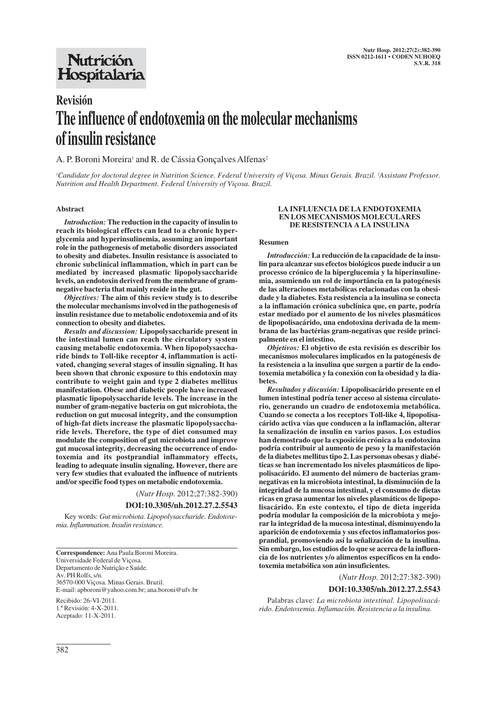## **Nutrición** Hospitalaria

# **Revisión The influence of endotoxemia on the molecular mechanisms of insulin resistance**

## A. P. Boroni Moreira<sup>1</sup> and R. de Cássia Gonçalves Alfenas<sup>2</sup>

*1 Candidate for doctoral degree in Nutrition Science. Federal University of Viçosa. Minas Gerais. Brazil. 2 Assistant Professor. Nutrition and Health Department. Federal University of Viçosa. Brazil.*

### **Abstract**

*Introduction:* **The reduction in the capacity of insulin to reach its biological effects can lead to a chronic hyperglycemia and hyperinsulinemia, assuming an important role in the pathogenesis of metabolic disorders associated to obesity and diabetes. Insulin resistance is associated to chronic subclinical inflammation, which in part can be mediated by increased plasmatic lipopolysaccharide levels, an endotoxin derived from the membrane of gramnegative bacteria that mainly reside in the gut.**

*Objectives:* **The aim of this review study is to describe the molecular mechanisms involved in the pathogenesis of insulin resistance due to metabolic endotoxemia and of its connection to obesity and diabetes.**

*Results and discussion:* **Lipopolysaccharide present in the intestinal lumen can reach the circulatory system causing metabolic endotoxemia. When lipopolysaccharide binds to Toll-like receptor 4, inflammation is activated, changing several stages of insulin signaling. It has been shown that chronic exposure to this endotoxin may contribute to weight gain and type 2 diabetes mellitus manifestation. Obese and diabetic people have increased plasmatic lipopolysaccharide levels. The increase in the number of gram-negative bacteria on gut microbiota, the reduction on gut mucosal integrity, and the consumption of high-fat diets increase the plasmatic lipopolysaccharide levels. Therefore, the type of diet consumed may modulate the composition of gut microbiota and improve gut mucosal integrity, decreasing the occurrence of endotoxemia and its postprandial inflammatory effects, leading to adequate insulin signaling. However, there are very few studies that evaluated the influence of nutrients and/or specific food types on metabolic endotoxemia.**

(*Nutr Hosp.* 2012;27:382-390)

#### **DOI:10.3305/nh.2012.27.2.5543**

Key words: *Gut microbiota. Lipopolysaccharide. Endotoxemia. Inflammation. Insulin resistance.*

**Correspondence:** Ana Paula Boroni Moreira. Universidade Federal de Viçosa. Departamento de Nutrição e Saúde. Av. PH Rolfs, s/n. 36570-000 Viçosa. Minas Gerais. Brazil. E-mail: apboroni@yahoo.com.br; ana.boroni@ufv.br Recibido: 26-VI-2011. 1.ª Revisión: 4-X-2011. Aceptado: 11-X-2011.

#### **LA INFLUENCIA DE LA ENDOTOXEMIA EN LOS MECANISMOS MOLECULARES DE RESISTENCIA A LA INSULINA**

#### **Resumen**

*Introducción:* **La reducción de la capacidade de la insulin para alcanzar sus efectos biológicos puede inducir a un processo crónico de la hiperglucemia y la hiperinsulinemia, asumiendo un rol de importância en la patogénesis de las alteraciones metabólicas relacionadas con la obesidade y la diabetes. Esta resistencia a la insulina se conecta a la inflamación crónica subclínica que, en parte, podría estar mediado por el aumento de los niveles plasmáticos de lipopolisacárido, una endotoxina derivada de la membrana de las bactérias gram-negativas que reside principalmente en el intestino.**

*Objetivos:* **El objetivo de esta revisión es describir los mecanismos moleculares implicados en la patogénesis de la resistencia a la insulina que surgen a partir de la endotoxemia metabólica y la conexión con la obesidad y la diabetes.**

*Resultados y discusión:* **Lipopolisacárido presente en el lumen intestinal podría tener acceso al sistema circulatorio, generando un cuadro de endotoxemia metabólica. Cuando se conecta a los receptors Toll-like 4, lipopolisacárido activa vías que conducen a la inflamación, alterar la senalización de insulin en varios pasos. Los estudios han demostrado que la exposición crónica a la endotoxina podría contribuir al aumento de peso y la manifestación de la diabetes mellitus tipo 2. Las personas obesas y diabéticas se han incrementado los niveles plasmáticos de lipopolisacárido. El aumento del número de bacterias gramnegativas en la microbiota intestinal, la disminución de la integridad de la mucosa intestinal, y el consumo de dietas ricas en grasa aumentar los niveles plasmáticos de lipopolisacárido. En este contexto, el tipo de dieta ingerida podría modular la composición de la microbiota y mejorar la integridad de la mucosa intestinal, disminuyendo la aparición de endotoxemia y sus efectos inflamatorios posprandial, promoviendo así la señalización de la insulina. Sin embargo, los estudios de lo que se acerca de la influencia de los nutrientes y/o alimentos específicos en la endotoxemia metabólica son aún insuficientes.**

(*Nutr Hosp.* 2012;27:382-390)

#### **DOI:10.3305/nh.2012.27.2.5543**

Palabras clave: *La microbiota intestinal. Lipopolisacárido. Endotoxemia. Inflamación. Resistencia a la insulina.*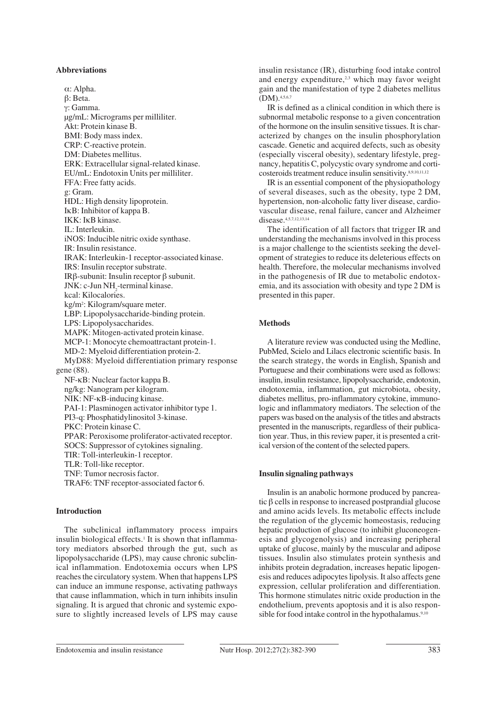#### **Abbreviations**

α: Alpha. β: Beta. γ: Gamma. μg/mL: Micrograms per milliliter. Akt: Protein kinase B. BMI: Body mass index. CRP: C-reactive protein. DM: Diabetes mellitus. ERK: Extracellular signal-related kinase. EU/mL: Endotoxin Units per milliliter. FFA: Free fatty acids. g: Gram. HDL: High density lipoprotein. IκB: Inhibitor of kappa B. IKK: IκB kinase. IL: Interleukin. iNOS: Inducible nitric oxide synthase. IR: Insulin resistance. IRAK: Interleukin-1 receptor-associated kinase. IRS: Insulin receptor substrate. IRβ-subunit: Insulin receptor β subunit.  $JNK: c$ -Jun  $NH<sub>2</sub>$ -terminal kinase. kcal: Kilocalories. kg/m2 : Kilogram/square meter. LBP: Lipopolysaccharide-binding protein. LPS: Lipopolysaccharides. MAPK: Mitogen-activated protein kinase. MCP-1: Monocyte chemoattractant protein-1. MD-2: Myeloid differentiation protein-2. MyD88: Myeloid differentiation primary response gene (88). NF-κB: Nuclear factor kappa B. ng/kg: Nanogram per kilogram. NIK: NF-κB-inducing kinase. PAI-1: Plasminogen activator inhibitor type 1. PI3-q: Phosphatidylinositol 3-kinase. PKC: Protein kinase C. PPAR: Peroxisome proliferator-activated receptor. SOCS: Suppressor of cytokines signaling. TIR: Toll-interleukin-1 receptor. TLR: Toll-like receptor. TNF: Tumor necrosis factor. TRAF6: TNF receptor-associated factor 6.

## **Introduction**

The subclinical inflammatory process impairs insulin biological effects.<sup>1</sup> It is shown that inflammatory mediators absorbed through the gut, such as lipopolysaccharide (LPS), may cause chronic subclinical inflammation. Endotoxemia occurs when LPS reaches the circulatory system. When that happens LPS can induce an immune response, activating pathways that cause inflammation, which in turn inhibits insulin signaling. It is argued that chronic and systemic exposure to slightly increased levels of LPS may cause insulin resistance (IR), disturbing food intake control and energy expenditure, $2,3$  which may favor weight gain and the manifestation of type 2 diabetes mellitus (DM).4,5,6,7

IR is defined as a clinical condition in which there is subnormal metabolic response to a given concentration of the hormone on the insulin sensitive tissues. It is characterized by changes on the insulin phosphorylation cascade. Genetic and acquired defects, such as obesity (especially visceral obesity), sedentary lifestyle, pregnancy, hepatitis C, polycystic ovary syndrome and corticosteroids treatment reduce insulin sensitivity.8,9,10,11,12

IR is an essential component of the physiopathology of several diseases, such as the obesity, type 2 DM, hypertension, non-alcoholic fatty liver disease, cardiovascular disease, renal failure, cancer and Alzheimer disease.<sup>4,5,7,12,13,14</sup>

The identification of all factors that trigger IR and understanding the mechanisms involved in this process is a major challenge to the scientists seeking the development of strategies to reduce its deleterious effects on health. Therefore, the molecular mechanisms involved in the pathogenesis of IR due to metabolic endotoxemia, and its association with obesity and type 2 DM is presented in this paper.

## **Methods**

A literature review was conducted using the Medline, PubMed, Scielo and Lilacs electronic scientific basis. In the search strategy, the words in English, Spanish and Portuguese and their combinations were used as follows: insulin, insulin resistance, lipopolysaccharide, endotoxin, endotoxemia, inflammation, gut microbiota, obesity, diabetes mellitus, pro-inflammatory cytokine, immunologic and inflammatory mediators. The selection of the papers was based on the analysis of the titles and abstracts presented in the manuscripts, regardless of their publication year. Thus, in this review paper, it is presented a critical version of the content of the selected papers.

## **Insulin signaling pathways**

Insulin is an anabolic hormone produced by pancreatic β cells in response to increased postprandial glucose and amino acids levels. Its metabolic effects include the regulation of the glycemic homeostasis, reducing hepatic production of glucose (to inhibit gluconeogenesis and glycogenolysis) and increasing peripheral uptake of glucose, mainly by the muscular and adipose tissues. Insulin also stimulates protein synthesis and inhibits protein degradation, increases hepatic lipogenesis and reduces adipocytes lipolysis. It also affects gene expression, cellular proliferation and differentiation. This hormone stimulates nitric oxide production in the endothelium, prevents apoptosis and it is also responsible for food intake control in the hypothalamus.<sup>9,10</sup>

Endotoxemia and insulin resistance Nutr Hosp. 2012;27(2):382-390 383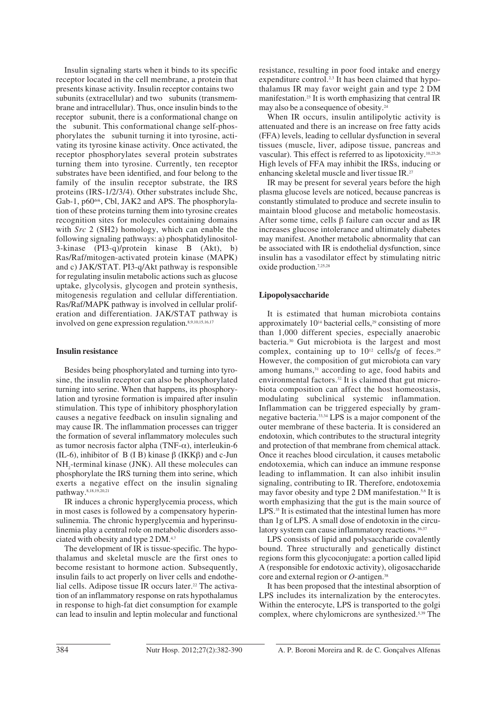Insulin signaling starts when it binds to its specific receptor located in the cell membrane, a protein that presents kinase activity. Insulin receptor contains two subunits (extracellular) and two subunits (transmembrane and intracellular). Thus, once insulin binds to the receptor subunit, there is a conformational change on the subunit. This conformational change self-phosphorylates the subunit turning it into tyrosine, activating its tyrosine kinase activity. Once activated, the receptor phosphorylates several protein substrates turning them into tyrosine. Currently, ten receptor substrates have been identified, and four belong to the family of the insulin receptor substrate, the IRS proteins (IRS-1/2/3/4). Other substrates include Shc, Gab-1,  $p60^{\text{dok}}$ , Cbl, JAK2 and APS. The phosphorylation of these proteins turning them into tyrosine creates recognition sites for molecules containing domains with *Src* 2 (SH2) homology, which can enable the following signaling pathways: a) phosphatidylinositol-3-kinase (PI3-q)/protein kinase B (Akt), b) Ras/Raf/mitogen-activated protein kinase (MAPK) and c) JAK/STAT. PI3-q/Akt pathway is responsible for regulating insulin metabolic actions such as glucose uptake, glycolysis, glycogen and protein synthesis, mitogenesis regulation and cellular differentiation. Ras/Raf/MAPK pathway is involved in cellular proliferation and differentiation. JAK/STAT pathway is involved on gene expression regulation.8,9,10,15,16,17

## **Insulin resistance**

Besides being phosphorylated and turning into tyrosine, the insulin receptor can also be phosphorylated turning into serine. When that happens, its phosphorylation and tyrosine formation is impaired after insulin stimulation. This type of inhibitory phosphorylation causes a negative feedback on insulin signaling and may cause IR. The inflammation processes can trigger the formation of several inflammatory molecules such as tumor necrosis factor alpha (TNF- $\alpha$ ), interleukin-6 (IL-6), inhibitor of B (I B) kinase  $\beta$  (IKK $\beta$ ) and c-Jun  $NH<sub>2</sub>$ -terminal kinase (JNK). All these molecules can phosphorylate the IRS turning them into serine, which exerts a negative effect on the insulin signaling pathway.8,18,19,20,21

IR induces a chronic hyperglycemia process, which in most cases is followed by a compensatory hyperinsulinemia. The chronic hyperglycemia and hyperinsulinemia play a central role on metabolic disorders associated with obesity and type 2 DM.<sup>4,7</sup>

The development of IR is tissue-specific. The hypothalamus and skeletal muscle are the first ones to become resistant to hormone action. Subsequently, insulin fails to act properly on liver cells and endothelial cells. Adipose tissue IR occurs later.<sup>22</sup> The activation of an inflammatory response on rats hypothalamus in response to high-fat diet consumption for example can lead to insulin and leptin molecular and functional resistance, resulting in poor food intake and energy expenditure control.<sup>2,3</sup> It has been claimed that hypothalamus IR may favor weight gain and type 2 DM manifestation.23 It is worth emphasizing that central IR may also be a consequence of obesity.24

When IR occurs, insulin antilipolytic activity is attenuated and there is an increase on free fatty acids (FFA) levels, leading to cellular dysfunction in several tissues (muscle, liver, adipose tissue, pancreas and vascular). This effect is referred to as lipotoxicity.10,25,26 High levels of FFA may inhibit the IRSs, inducing or enhancing skeletal muscle and liver tissue IR.<sup>27</sup>

IR may be present for several years before the high plasma glucose levels are noticed, because pancreas is constantly stimulated to produce and secrete insulin to maintain blood glucose and metabolic homeostasis. After some time, cells β failure can occur and as IR increases glucose intolerance and ultimately diabetes may manifest. Another metabolic abnormality that can be associated with IR is endothelial dysfunction, since insulin has a vasodilator effect by stimulating nitric oxide production.7,25,28

## **Lipopolysaccharide**

It is estimated that human microbiota contains approximately  $10^{14}$  bacterial cells,<sup>29</sup> consisting of more than 1,000 different species, especially anaerobic bacteria.30 Gut microbiota is the largest and most complex, containing up to  $10^{12}$  cells/g of feces.<sup>29</sup> However, the composition of gut microbiota can vary among humans,<sup>31</sup> according to age, food habits and environmental factors.<sup>32</sup> It is claimed that gut microbiota composition can affect the host homeostasis, modulating subclinical systemic inflammation. Inflammation can be triggered especially by gramnegative bacteria.33,34 LPS is a major component of the outer membrane of these bacteria. It is considered an endotoxin, which contributes to the structural integrity and protection of that membrane from chemical attack. Once it reaches blood circulation, it causes metabolic endotoxemia, which can induce an immune response leading to inflammation. It can also inhibit insulin signaling, contributing to IR. Therefore, endotoxemia may favor obesity and type 2 DM manifestation.5,6 It is worth emphasizing that the gut is the main source of LPS.<sup>35</sup> It is estimated that the intestinal lumen has more than 1g of LPS. A small dose of endotoxin in the circulatory system can cause inflammatory reactions.<sup>36,37</sup>

LPS consists of lipid and polysaccharide covalently bound. Three structurally and genetically distinct regions form this glycoconjugate: a portion called lipid A (responsible for endotoxic activity), oligosaccharide core and external region or *O*-antigen.38

It has been proposed that the intestinal absorption of LPS includes its internalization by the enterocytes. Within the enterocyte, LPS is transported to the golgi complex, where chylomicrons are synthesized.5,39 The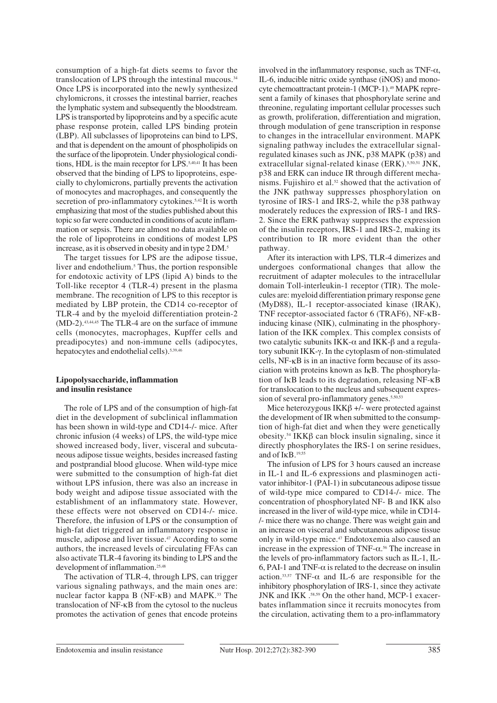consumption of a high-fat diets seems to favor the translocation of LPS through the intestinal mucous. $34$ Once LPS is incorporated into the newly synthesized chylomicrons, it crosses the intestinal barrier, reaches the lymphatic system and subsequently the bloodstream. LPS is transported by lipoproteins and by a specific acute phase response protein, called LPS binding protein (LBP). All subclasses of lipoproteins can bind to LPS, and that is dependent on the amount of phospholipids on the surface of the lipoprotein. Under physiological conditions, HDL is the main receptor for LPS.5,40,41 It has been observed that the binding of LPS to lipoproteins, especially to chylomicrons, partially prevents the activation of monocytes and macrophages, and consequently the secretion of pro-inflammatory cytokines.<sup>5,42</sup>It is worth emphasizing that most of the studies published about this topic so far were conducted in conditions of acute inflammation or sepsis. There are almost no data available on the role of lipoproteins in conditions of modest LPS increase, as it is observed in obesity and in type 2 DM.<sup>5</sup>

The target tissues for LPS are the adipose tissue, liver and endothelium.<sup>5</sup> Thus, the portion responsible for endotoxic activity of LPS (lipid A) binds to the Toll-like receptor 4 (TLR-4) present in the plasma membrane. The recognition of LPS to this receptor is mediated by LBP protein, the CD14 co-receptor of TLR-4 and by the myeloid differentiation protein-2 (MD-2).43,44,45 The TLR-4 are on the surface of immune cells (monocytes, macrophages, Kupffer cells and preadipocytes) and non-immune cells (adipocytes, hepatocytes and endothelial cells). 5,39,46

## **Lipopolysaccharide, inflammation and insulin resistance**

The role of LPS and of the consumption of high-fat diet in the development of subclinical inflammation has been shown in wild-type and CD14-/- mice. After chronic infusion (4 weeks) of LPS, the wild-type mice showed increased body, liver, visceral and subcutaneous adipose tissue weights, besides increased fasting and postprandial blood glucose. When wild-type mice were submitted to the consumption of high-fat diet without LPS infusion, there was also an increase in body weight and adipose tissue associated with the establishment of an inflammatory state. However, these effects were not observed on CD14-/- mice. Therefore, the infusion of LPS or the consumption of high-fat diet triggered an inflammatory response in muscle, adipose and liver tissue.<sup>47</sup> According to some authors, the increased levels of circulating FFAs can also activate TLR-4 favoring its binding to LPS and the development of inflammation.<sup>25,48</sup>

The activation of TLR-4, through LPS, can trigger various signaling pathways, and the main ones are: nuclear factor kappa B (NF-κB) and MAPK.<sup>33</sup> The translocation of NF-κB from the cytosol to the nucleus promotes the activation of genes that encode proteins involved in the inflammatory response, such as  $TNF-\alpha$ , IL-6, inducible nitric oxide synthase (iNOS) and monocyte chemoattractant protein-1 (MCP-1).49 MAPK represent a family of kinases that phosphorylate serine and threonine, regulating important cellular processes such as growth, proliferation, differentiation and migration, through modulation of gene transcription in response to changes in the intracellular environment. MAPK signaling pathway includes the extracellular signalregulated kinases such as JNK, p38 MAPK (p38) and extracellular signal-related kinase (ERK).<sup>5,50,51</sup> JNK, p38 and ERK can induce IR through different mechanisms. Fujishiro et al.52 showed that the activation of the JNK pathway suppresses phosphorylation on tyrosine of IRS-1 and IRS-2, while the p38 pathway moderately reduces the expression of IRS-1 and IRS-2. Since the ERK pathway suppresses the expression of the insulin receptors, IRS-1 and IRS-2, making its contribution to IR more evident than the other pathway.

After its interaction with LPS, TLR-4 dimerizes and undergoes conformational changes that allow the recruitment of adapter molecules to the intracellular domain Toll-interleukin-1 receptor (TIR). The molecules are: myeloid differentiation primary response gene (MyD88), IL-1 receptor-associated kinase (IRAK), TNF receptor-associated factor 6 (TRAF6), NF-κBinducing kinase (NIK), culminating in the phosphorylation of the IKK complex. This complex consists of two catalytic subunits IKK-α and IKK-β and a regulatory subunit IKK-γ. In the cytoplasm of non-stimulated cells, NF-κB is in an inactive form because of its association with proteins known as IκB. The phosphorylation of IκB leads to its degradation, releasing NF-κB for translocation to the nucleus and subsequent expression of several pro-inflammatory genes.<sup>5,50,53</sup>

Mice heterozygous IKKβ +/- were protected against the development of IR when submitted to the consumption of high-fat diet and when they were genetically obesity.54 IKKβ can block insulin signaling, since it directly phosphorylates the IRS-1 on serine residues, and of  $I \kappa B$ .<sup>19,55</sup>

The infusion of LPS for 3 hours caused an increase in IL-1 and IL-6 expressions and plasminogen activator inhibitor-1 (PAI-1) in subcutaneous adipose tissue of wild-type mice compared to CD14-/- mice. The concentration of phosphorylated NF- B and IKK also increased in the liver of wild-type mice, while in CD14- /- mice there was no change. There was weight gain and an increase on visceral and subcutaneous adipose tissue only in wild-type mice.47 Endotoxemia also caused an increase in the expression of TNF-α. <sup>56</sup> The increase in the levels of pro-inflammatory factors such as IL-1, IL-6, PAI-1 and TNF- $\alpha$  is related to the decrease on insulin action.<sup>33,57</sup> TNF- $\alpha$  and IL-6 are responsible for the inhibitory phosphorylation of IRS-1, since they activate JNK and IKK .58,59 On the other hand, MCP-1 exacerbates inflammation since it recruits monocytes from the circulation, activating them to a pro-inflammatory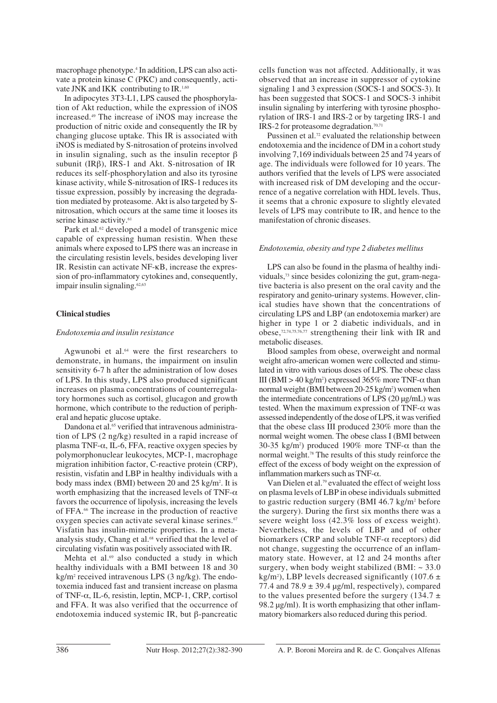macrophage phenotype.4 In addition, LPS can also activate a protein kinase C (PKC) and consequently, activate JNK and IKK contributing to IR.1,60

In adipocytes 3T3-L1, LPS caused the phosphorylation of Akt reduction, while the expression of iNOS increased.49 The increase of iNOS may increase the production of nitric oxide and consequently the IR by changing glucose uptake. This IR is associated with iNOS is mediated by S-nitrosation of proteins involved in insulin signaling, such as the insulin receptor β subunit (IRβ), IRS-1 and Akt. S-nitrosation of IR reduces its self-phosphorylation and also its tyrosine kinase activity, while S-nitrosation of IRS-1 reduces its tissue expression, possibly by increasing the degradation mediated by proteasome. Akt is also targeted by Snitrosation, which occurs at the same time it looses its serine kinase activity.<sup>61</sup>

Park et al.<sup>62</sup> developed a model of transgenic mice capable of expressing human resistin. When these animals where exposed to LPS there was an increase in the circulating resistin levels, besides developing liver IR. Resistin can activate NF-κB, increase the expression of pro-inflammatory cytokines and, consequently, impair insulin signaling.<sup>62,63</sup>

## **Clinical studies**

## *Endotoxemia and insulin resistance*

Agwunobi et al.<sup>64</sup> were the first researchers to demonstrate, in humans, the impairment on insulin sensitivity 6-7 h after the administration of low doses of LPS. In this study, LPS also produced significant increases on plasma concentrations of counterregulatory hormones such as cortisol, glucagon and growth hormone, which contribute to the reduction of peripheral and hepatic glucose uptake.

Dandona et al.<sup>65</sup> verified that intravenous administration of LPS (2 ng/kg) resulted in a rapid increase of plasma TNF- $\alpha$ , IL-6, FFA, reactive oxygen species by polymorphonuclear leukocytes, MCP-1, macrophage migration inhibition factor, C-reactive protein (CRP), resistin, visfatin and LBP in healthy individuals with a body mass index (BMI) between 20 and 25 kg/m<sup>2</sup>. It is worth emphasizing that the increased levels of TNF- $\alpha$ favors the occurrence of lipolysis, increasing the levels of FFA.66 The increase in the production of reactive oxygen species can activate several kinase serines.<sup>67</sup> Visfatin has insulin-mimetic properties. In a metaanalysis study, Chang et al.<sup>68</sup> verified that the level of circulating visfatin was positively associated with IR.

Mehta et al.<sup>69</sup> also conducted a study in which healthy individuals with a BMI between 18 and 30 kg/m2 received intravenous LPS (3 ng/kg). The endotoxemia induced fast and transient increase on plasma of TNF-α, IL-6, resistin, leptin, MCP-1, CRP, cortisol and FFA. It was also verified that the occurrence of endotoxemia induced systemic IR, but β-pancreatic cells function was not affected. Additionally, it was observed that an increase in suppressor of cytokine signaling 1 and 3 expression (SOCS-1 and SOCS-3). It has been suggested that SOCS-1 and SOCS-3 inhibit insulin signaling by interfering with tyrosine phosphorylation of IRS-1 and IRS-2 or by targeting IRS-1 and IRS-2 for proteasome degradation.70,71

Pussinen et al.<sup>72</sup> evaluated the relationship between endotoxemia and the incidence of DM in a cohort study involving 7,169 individuals between 25 and 74 years of age. The individuals were followed for 10 years. The authors verified that the levels of LPS were associated with increased risk of DM developing and the occurrence of a negative correlation with HDL levels. Thus, it seems that a chronic exposure to slightly elevated levels of LPS may contribute to IR, and hence to the manifestation of chronic diseases.

### *Endotoxemia, obesity and type 2 diabetes mellitus*

LPS can also be found in the plasma of healthy individuals,73 since besides colonizing the gut, gram-negative bacteria is also present on the oral cavity and the respiratory and genito-urinary systems. However, clinical studies have shown that the concentrations of circulating LPS and LBP (an endotoxemia marker) are higher in type 1 or 2 diabetic individuals, and in obese,72,74,75,76,77 strengthening their link with IR and metabolic diseases.

Blood samples from obese, overweight and normal weight afro-american women were collected and stimulated in vitro with various doses of LPS. The obese class III (BMI > 40 kg/m<sup>2</sup>) expressed 365% more TNF- $\alpha$  than normal weight (BMI between 20-25 kg/m<sup>2</sup>) women when the intermediate concentrations of LPS (20 μg/mL) was tested. When the maximum expression of TNF- $\alpha$  was assessed independently of the dose of LPS, it was verified that the obese class III produced 230% more than the normal weight women. The obese class I (BMI between 30-35 kg/m<sup>2</sup>) produced 190% more TNF- $\alpha$  than the normal weight.78 The results of this study reinforce the effect of the excess of body weight on the expression of inflammation markers such as  $TNF-\alpha$ .

Van Dielen et al.<sup>79</sup> evaluated the effect of weight loss on plasma levels of LBP in obese individuals submitted to gastric reduction surgery (BMI 46.7 kg/m2 before the surgery). During the first six months there was a severe weight loss (42.3% loss of excess weight). Nevertheless, the levels of LBP and of other biomarkers (CRP and soluble  $TNF-\alpha$  receptors) did not change, suggesting the occurrence of an inflammatory state. However, at 12 and 24 months after surgery, when body weight stabilized (BMI:  $\sim$  33.0 kg/m<sup>2</sup>), LBP levels decreased significantly (107.6  $\pm$ 77.4 and  $78.9 \pm 39.4$  µg/ml, respectively), compared to the values presented before the surgery (134.7  $\pm$ 98.2 μg/ml). It is worth emphasizing that other inflammatory biomarkers also reduced during this period.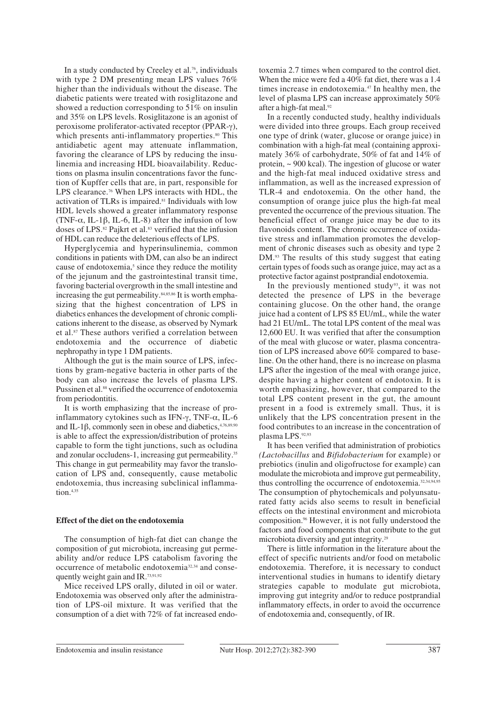In a study conducted by Creeley et al.<sup>76</sup>, individuals with type 2 DM presenting mean LPS values 76% higher than the individuals without the disease. The diabetic patients were treated with rosiglitazone and showed a reduction corresponding to 51% on insulin and 35% on LPS levels. Rosiglitazone is an agonist of peroxisome proliferator-activated receptor (PPAR-γ), which presents anti-inflammatory properties.<sup>80</sup> This antidiabetic agent may attenuate inflammation, favoring the clearance of LPS by reducing the insulinemia and increasing HDL bioavailability. Reductions on plasma insulin concentrations favor the function of Kupffer cells that are, in part, responsible for LPS clearance.<sup>76</sup> When LPS interacts with HDL, the activation of TLRs is impaired.<sup>81</sup> Individuals with low HDL levels showed a greater inflammatory response (TNF- $\alpha$ , IL-1 $\beta$ , IL-6, IL-8) after the infusion of low doses of LPS.<sup>82</sup> Pajkrt et al.<sup>83</sup> verified that the infusion of HDL can reduce the deleterious effects of LPS.

Hyperglycemia and hyperinsulinemia, common conditions in patients with DM, can also be an indirect cause of endotoxemia,<sup>5</sup> since they reduce the motility of the jejunum and the gastrointestinal transit time, favoring bacterial overgrowth in the small intestine and increasing the gut permeability.<sup>84,85,86</sup> It is worth emphasizing that the highest concentration of LPS in diabetics enhances the development of chronic complications inherent to the disease, as observed by Nymark et al.87 These authors verified a correlation between endotoxemia and the occurrence of diabetic nephropathy in type 1 DM patients.

Although the gut is the main source of LPS, infections by gram-negative bacteria in other parts of the body can also increase the levels of plasma LPS. Pussinen et al.<sup>88</sup> verified the occurrence of endotoxemia from periodontitis.

It is worth emphasizing that the increase of proinflammatory cytokines such as IFN-γ, TNF-α, IL-6 and IL-1 $\beta$ , commonly seen in obese and diabetics,  $4,76,89,90$ is able to affect the expression/distribution of proteins capable to form the tight junctions, such as ocludina and zonular occludens-1, increasing gut permeability.<sup>35</sup> This change in gut permeability may favor the translocation of LPS and, consequently, cause metabolic endotoxemia, thus increasing subclinical inflammation.4,35

#### **Effect of the diet on the endotoxemia**

The consumption of high-fat diet can change the composition of gut microbiota, increasing gut permeability and/or reduce LPS catabolism favoring the occurrence of metabolic endotoxemia32,34 and consequently weight gain and IR.73,91,92

Mice received LPS orally, diluted in oil or water. Endotoxemia was observed only after the administration of LPS-oil mixture. It was verified that the consumption of a diet with 72% of fat increased endotoxemia 2.7 times when compared to the control diet. When the mice were fed a 40% fat diet, there was a 1.4 times increase in endotoxemia.<sup>47</sup> In healthy men, the level of plasma LPS can increase approximately 50% after a high-fat meal.<sup>92</sup>

In a recently conducted study, healthy individuals were divided into three groups. Each group received one type of drink (water, glucose or orange juice) in combination with a high-fat meal (containing approximately 36% of carbohydrate, 50% of fat and 14% of protein, ~ 900 kcal). The ingestion of glucose or water and the high-fat meal induced oxidative stress and inflammation, as well as the increased expression of TLR-4 and endotoxemia. On the other hand, the consumption of orange juice plus the high-fat meal prevented the occurrence of the previous situation. The beneficial effect of orange juice may be due to its flavonoids content. The chronic occurrence of oxidative stress and inflammation promotes the development of chronic diseases such as obesity and type 2 DM.<sup>93</sup> The results of this study suggest that eating certain types of foods such as orange juice, may act as a protective factor against postprandial endotoxemia.

In the previously mentioned study<sup>93</sup>, it was not detected the presence of LPS in the beverage containing glucose. On the other hand, the orange juice had a content of LPS 85 EU/mL, while the water had 21 EU/mL. The total LPS content of the meal was 12,600 EU. It was verified that after the consumption of the meal with glucose or water, plasma concentration of LPS increased above 60% compared to baseline. On the other hand, there is no increase on plasma LPS after the ingestion of the meal with orange juice, despite having a higher content of endotoxin. It is worth emphasizing, however, that compared to the total LPS content present in the gut, the amount present in a food is extremely small. Thus, it is unlikely that the LPS concentration present in the food contributes to an increase in the concentration of plasma LPS.92,93

It has been verified that administration of probiotics *(Lactobacillus* and *Bifidobacterium* for example) or prebiotics (inulin and oligofructose for example) can modulate the microbiota and improve gut permeability, thus controlling the occurrence of endotoxemia.<sup>32,34,94,95</sup> The consumption of phytochemicals and polyunsaturated fatty acids also seems to result in beneficial effects on the intestinal environment and microbiota composition.96 However, it is not fully understood the factors and food components that contribute to the gut microbiota diversity and gut integrity.<sup>29</sup>

There is little information in the literature about the effect of specific nutrients and/or food on metabolic endotoxemia. Therefore, it is necessary to conduct interventional studies in humans to identify dietary strategies capable to modulate gut microbiota, improving gut integrity and/or to reduce postprandial inflammatory effects, in order to avoid the occurrence of endotoxemia and, consequently, of IR.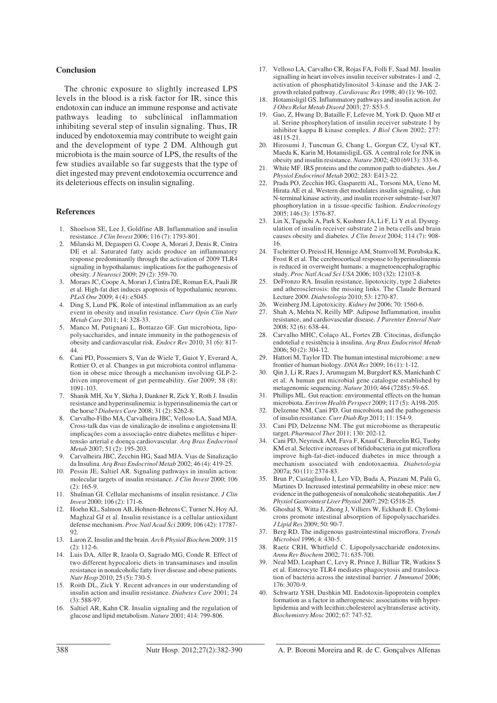#### **Conclusion**

The chronic exposure to slightly increased LPS levels in the blood is a risk factor for IR, since this endotoxin can induce an immune response and activate pathways leading to subclinical inflammation inhibiting several step of insulin signaling. Thus, IR induced by endotoxemia may contribute to weight gain and the development of type 2 DM. Although gut microbiota is the main source of LPS, the results of the few studies available so far suggests that the type of diet ingested may prevent endotoxemia occurrence and its deleterious effects on insulin signaling.

#### **References**

- 1. Shoelson SE, Lee J, Goldfine AB. Inflammation and insulin resistance. *J Clin Invest* 2006; 116 (7): 1793-801.
- 2. Milanski M, Degasperi G, Coope A, Morari J, Denis R, Cintra DE et al. Saturated fatty acids produce an inflammatory response predominantly through the activation of 2009 TLR4 signaling in hypothalamus: implications for the pathogenesis of obesity. *J Neurosci* 2009; 29 (2): 359-70.
- 3. Moraes JC, Coope A, Morari J, Cintra DE, Roman EA, Pauli JR et al. High-fat diet induces apoptosis of hypothalamic neurons. *PLoS One* 2009; 4 (4): e5045.
- 4. Ding S, Lund PK. Role of intestinal inflammation as an early event in obesity and insulin resistance. *Curr Opin Clin Nutr Metab Care* 2011; 14: 328-33.
- Manco M, Putignani L, Bottazzo GF. Gut microbiota, lipopolysaccharides, and innate immunity in the pathogenesis of obesity and cardiovascular risk. *Endocr Rev* 2010; 31 (6): 817- 44.
- 6. Cani PD, Possemiers S, Van de Wiele T, Guiot Y, Everard A, Rottier O, et al. Changes in gut microbiota control inflammation in obese mice through a mechanism involving GLP-2 driven improvement of gut permeability. *Gut* 2009; 58 (8): 1091-103.
- 7. Shanik MH, Xu Y, Skrha J, Dankner R, Zick Y, Roth J. Insulin resistance and hyperinsulinemia: is hyperinsulinemia the cart or the horse? *Diabetes Care* 2008; 31 (2): S262-8.
- 8. Carvalho-Filho MA, Carvalheira JBC, Velloso LA, Saad MJA. Cross-talk das vias de sinalização de insulina e angiotensina II: implicações com a associação entre diabetes mellitus e hipertensão arterial e doença cardiovascular. *Arq Bras Endocrinol Metab* 2007; 51 (2): 195-203.
- 9. Carvalheira JBC, Zecchin HG, Saad MJA. Vias de Sinalização da Insulina. *Arq Bras Endocrinol Metab* 2002; 46 (4): 419-25.
- 10. Pessin JE, Saltiel AR. Signaling pathways in insulin action: molecular targets of insulin resistance. *J Clin Invest* 2000; 106 (2): 165-9.
- 11. Shulman GI. Cellular mechanisms of insulin resistance. *J Clin Invest* 2000; 106 (2): 171-6.
- 12. Hoehn KL, Salmon AB, Hohnen-Behrens C, Turner N, Hoy AJ, Maghzal GJ et al. Insulin resistance is a cellular antioxidant defense mechanism. *Proc Natl Acad Sci* 2009; 106 (42): 17787- 92.
- 13. Laron Z. Insulin and the brain. *Arch Physiol Biochem* 2009; 115 (2): 112-6.
- 14. Luis DA, Aller R, Izaola O, Sagrado MG, Conde R. Effect of two different hypocaloric diets in transaminases and insulin resistance in nonalcoholic fatty liver disease and obese patients. *Nutr Hosp* 2010; 25 (5): 730-5.
- Roith DL, Zick Y. Recent advances in our understanding of insulin action and insulin resistance. *Diabetes Care* 2001; 24  $(3)$ : 588-97.
- 16. Saltiel AR, Kahn CR. Insulin signaling and the regulation of glucose and lipid metabolism. *Nature* 2001; 414: 799-806.
- 17. Velloso LA, Carvalho CR, Rojas FA, Folli F, Saad MJ. Insulin signalling in heart involves insulin receiver substrates-1 and -2, activation of phosphatidylinositol 3-kinase and the JAK 2 growth related pathway. *Cardiovasc Res* 1998; 40 (1): 96-102.
- 18. Hotamisligil GS. Inflammatory pathways and insulin action. *Int J Obes Relat Metab Disord* 2003; 27: S53-5.
- 19. Gao, Z, Hwang D, Bataille F, Lefevre M, York D, Quon MJ et al. Serine phosphorylation of insulin receiver substrate 1 by inhibitor kappa B kinase complex. *J Biol Chem* 2002; 277: 48115-21.
- 20. Hirosumi J, Tuncman G, Chang L, Gorgun CZ, Uysal KT, Maeda K, Karin M, HotamisligiL GS. A central role for JNK in obesity and insulin resistance. *Nature* 2002; 420 (6913): 333-6.
- 21. White MF. IRS proteins and the common path to diabetes. *Am J Physiol Endocrinol Metab* 2002; 283: E413-22.
- 22. Prada PO, Zecchin HG, Gasparetti AL, Torsoni MA, Ueno M, Hirata AE et al. Western diet modulates insulin signaling, c-Jun N-terminal kinase activity, and insulin receiver substrate-1ser307 phosphorylation in a tissue-specific fashion. *Endocrinology* 2005; 146 (3): 1576-87.
- 23. Lin X, Taguchi A, Park S, Kushner JA, Li F, Li Y et al. Dysregulation of insulin receiver substrate 2 in beta cells and brain causes obesity and diabetes. *J Clin Invest* 2004; 114 (7): 908- 16.
- 24. Tschritter O, Preissl H, Hennige AM, Stumvoll M, Porubska K, Frost R et al. The cerebrocortical response to hyperinsulinemia is reduced in overweight humans: a magnetoencephalographic study. *Proc Natl Acad Sci USA* 2006; 103 (32): 12103-8.
- 25. DeFronzo RA. Insulin resistance, lipotoxicity, type 2 diabetes and atherosclerosis: the missing links. The Claude Bernard Lecture 2009. *Diabetologia* 2010; 53: 1270-87.
- 26. Weinberg JM. Lipotoxicity. *Kidney Int* 2006; 70: 1560-6.
- 27. Shah A, Mehta N, Reilly MP. Adipose Inflammation, insulin resistance, and cardiovascular disease. *J Parenter Enteral Nutr* 2008; 32 (6): 638-44.
- 28. Carvalho MHC, Colaço AL, Fortes ZB. Citocinas, disfunção endotelial e resistência à insulina. *Arq Bras Endocrinol Metab* 2006; 50 (2): 304-12.
- 29. Hattori M, Taylor TD. The human intestinal microbiome: a new frontier of human biology. *DNA Res* 2009; 16 (1): 1-12.
- 30. Qin J, Li R, Raes J, Arumugam M, Burgdorf KS, Manichanh C et al. A human gut microbial gene catalogue established by metagenomic sequencing. *Nature* 2010; 464 (7285): 59-65.
- 31. Phillips ML. Gut reaction: environmental effects on the human microbiota. *Environ Health Perspect* 2009; 117 (5): A198-205.
- Delzenne NM, Cani PD. Gut microbiota and the pathogenesis of insulin resistance. *Curr Diab Rep* 2011; 11: 154-9.
- Cani PD, Delzenne NM. The gut microbiome as therapeutic target. *Pharmacol Ther* 2011; 130: 202-12.
- 34. Cani PD, Neyrinck AM, Fava F, Knauf C, Burcelin RG, Tuohy KM et al. Selective increases of bifidobacteria in gut microflora improve high-fat-diet-induced diabetes in mice through a mechanism associated with endotoxaemia. *Diabetologia* 2007a; 50 (11): 2374-83.
- 35. Brun P, Castagliuolo I, Leo VD, Buda A, Pinzani M, Palù G, Martines D. Increased intestinal permeability in obese mice: new evidence in the pathogenesis of nonalcoholic steatohepatitis. *Am J Physiol Gastrointest Liver Physiol* 2007; 292: G518-25.
- 36. Ghoshal S, Witta J, Zhong J, Villiers W, Eckhardt E. Chylomicrons promote intestinal absorption of lipopolysaccharides. *J Lipid Res* 2009; 50: 90-7.
- 37. Berg RD. The indigenous gastrointestinal microflora. *Trends Microbiol* 1996; 4: 430-5.
- 38. Raetz CRH, Whitfield C. Lipopolysaccharide endotoxins. *Annu Rev Biochem* 2002; 71: 635-700.
- Neal MD, Leaphart C, Levy R, Prince J, Billiar TR, Watkins S et al. Enterocyte TLR4 mediates phagocytosis and translocation of bacteria across the intestinal barrier. *J Immunol* 2006; 176: 3070-9.
- Schwartz YSH, Dushkin MI. Endotoxin-lipoprotein complex formation as a factor in atherogenesis: associations with hyperlipidemia and with lecithin:cholesterol acyltransferase activity. *Biochemistry Mosc* 2002; 67: 747-52.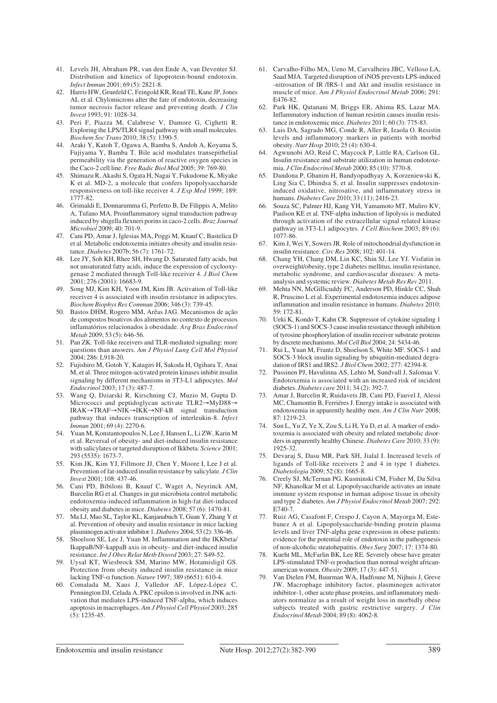- 41. Levels JH, Abraham PR, van den Ende A, van Deventer SJ. Distribution and kinetics of lipoprotein-bound endotoxin. *Infect Immun* 2001; 69 (5): 2821-8.
- 42. Harris HW, Grunfeld C, Feingold KR, Read TE, Kane JP, Jones AL et al. Chylomicrons alter the fate of endotoxin, decreasing tumor necrosis factor release and preventing death. *J Clin Invest* 1993; 91: 1028-34.
- 43. Peri F, Piazza M, Calabrese V, Damore G, Cighetti R. Exploring the LPS/TLR4 signal pathway with small molecules. *Biochem Soc Trans* 2010; 38 (5): 1390-5.
- 44. Araki Y, Katoh T, Ogawa A, Bamba S, Andoh A, Koyama S, Fujiyama Y, Bamba T. Bile acid modulates transepithelial permeability via the generation of reactive oxygen species in the Caco-2 cell line. *Free Radic Biol Med* 2005; 39: 769-80.
- 45. Shimazu R, Akashi S, Ogata H, Nagai Y, Fukudome K, Miyake K et al. MD-2, a molecule that confers lipopolysaccharide responsiveness on toll-like receiver 4. *J Exp Med* 1999; 189: 1777-82.
- 46. Grimaldi E, Donnarumma G, Perfetto B, De Filippis A, Melito A, Tufano MA. Proinflammatory signal transduction pathway induced by shigella flexneri porins in caco-2 cells. *Braz Journal Microbiol* 2009; 40: 701-9.
- 47. Cani PD, Amar J, Iglesias MA, Poggi M, Knauf C, Bastelica D et al. Metabolic endotoxemia initiates obesity and insulin resistance. *Diabetes* 2007b; 56 (7): 1761-72.
- 48. Lee JY, Soh KH, Rhee SH, Hwang D. Saturated fatty acids, but not unsaturated fatty acids, induce the expression of cyclooxygenase 2 mediated through Toll-like receiver 4. *J Biol Chem* 2001; 276 (2001): 16683-9.
- 49. Song MJ, Kim KH, Yoon JM, Kim JB. Activation of Toll-like receiver 4 is associated with insulin resistance in adipocytes. *Biochem Biophys Res Commun* 2006; 346 (3): 739-45.
- 50. Bastos DHM, Rogero MM, Arêas JAG. Mecanismos de ação de compostos bioativos dos alimentos no contexto de processos inflamatórios relacionados à obesidade. *Arq Bras Endocrinol Metab* 2009; 53 (5): 646-56.
- 51. Pan ZK. Toll-like receivers and TLR-mediated signaling: more questions than answers. *Am J Physiol Lung Cell Mol Physiol* 2004; 286: L918-20.
- 52. Fujishiro M, Gotoh Y, Katagiri H, Sakoda H, Ogihara T, Anai M, et al. Three mitogen-activated protein kinases inhibit insulin signaling by different mechanisms in 3T3-L1 adipocytes. *Mol Endocrinol* 2003; 17 (3): 487-7.
- 53. Wang Q, Dziarski R, Kirschning CJ, Muzio M, Gupta D. Micrococci and peptidoglycan activate TLR2→MyD88→ IRAK→TRAF→NIK→IKK→NF-kB signal transduction pathway that induces transcription of interleukin-8. *Infect Immun* 2001; 69 (4): 2270-6.
- 54. Yuan M, Konstantopoulos N, Lee J, Hansen L, Li ZW, Karin M et al. Reversal of obesity- and diet-induced insulin resistance with salicylates or targeted disruption of Ikkbeta. *Science* 2001; 293 (5535): 1673-7.
- 55. Kim JK, Kim YJ, Fillmore JJ, Chen Y, Moore I, Lee J et al. Prevention of fat-induced insulin resistance by salicylate*. J Clin Invest* 2001; 108: 437-46.
- 56. Cani PD, Bibiloni B, Knauf C, Waget A, Neyrinck AM, Burcelin RG et al. Changes in gut microbiota control metabolic endotoxemia-induced inflammation in high-fat diet-induced obesity and diabetes in mice. *Diabetes* 2008; 57 (6): 1470-81.
- 57. Ma LJ, Mao SL, Taylor KL, Kanjanabuch T, Guan Y, Zhang Y et al. Prevention of obesity and insulin resistance in mice lacking plasminogen activator inhibitor 1. *Diabetes* 2004; 53 (2): 336-46.
- 58. Shoelson SE, Lee J, Yuan M. Inflammation and the IKKbeta/ IkappaB/NF-kappaB axis in obesity- and diet-induced insulin resistance. *Int J Obes Relat Metb Disord* 2003; 27: S49-52.
- 59. Uysal KT, Wiesbrock SM, Marino MW, Hotamisligil GS. Protection from obesity induced insulin resistance in mice lacking TNF-α function. *Nature* 1997; 389 (6651): 610-4.
- 60. Comalada M, Xaus J, Valledor AF, López-López C, Pennington DJ, Celada A. PKC epsilon is involved in JNK activation that mediates LPS-induced TNF-alpha, which induces apoptosis in macrophages. *Am J Physiol Cell Physiol* 2003; 285  $(5): 1235 - 45.$
- 61. Carvalho-Filho MA, Ueno M, Carvalheira JBC, Velloso LA, Saad MJA. Targeted disruption of iNOS prevents LPS-induced -nitrosation of IR /IRS-1 and Akt and insulin resistance in muscle of mice. A*m J Physiol Endocrinol Metab* 2006; 291: E476-82.
- 62. Park HK, Qatanani M, Briggs ER, Ahima RS, Lazar MA. Inflammatory induction of human resistin causes insulin resistance in endotoxemic mice. *Diabetes* 2011; 60 (3): 775-83.
- 63. Luis DA, Sagrado MG, Conde R, Aller R, Izaola O. Resistin levels and inflammatory markers in patients with morbid obesity. *Nutr Hosp* 2010; 25 (4): 630-4.
- 64. Agwunobi AO, Reid C, Maycock P, Little RA, Carlson GL. Insulin resistance and substrate utilization in human endotoxemia. *J Clin Endocrinol Metab* 2000; 85 (10): 3770-8.
- 65. Dandona P, Ghanim H, Bandyopadhyay A, Korzeniewski K, Ling Sia C, Dhindsa S, et al. Insulin suppresses endotoxininduced oxidative, nitrosative, and inflammatory stress in humans. *Diabetes Care* 2010; 33 (11); 2416-23.
- 66. Souza SC, Palmer HJ, Kang YH, Yamamoto MT, Muliro KV, Paulson KE et al. TNF-alpha induction of lipolysis is mediated through activation of the extracellular signal related kinase pathway in 3T3-L1 adipocytes. *J Cell Biochem* 2003; 89 (6): 1077-86.
- 67. Kim J, Wei Y, Sowers JR. Role of mitochondrial dysfunction in insulin resistance. *Circ Res* 2008; 102: 401-14.
- 68. Chang YH, Chang DM, Lin KC, Shin SJ, Lee YJ. Visfatin in overweight/obesity, type 2 diabetes mellitus, insulin resistance, metabolic syndrome, and cardiovascular diseases: A metaanalysis and systemic review. *Diabetes Metab Res Rev* 2011.
- 69. Mehta NN, McGillicuddy FC, Anderson PD, Hinkle CC, Shah R, Pruscino L et al. Experimental endotoxemia induces adipose inflammation and insulin resistance in humans. *Diabetes* 2010; 59: 172-81.
- 70. Ueki K, Kondo T, Kahn CR. Suppressor of cytokine signaling 1 (SOCS-1) and SOCS-3 cause insulin resistance through inhibition of tyrosine phosphorylation of insulin receiver substrate proteins by discrete mechanisms. *Mol Cell Biol* 2004; 24: 5434-46.
- 71. Rui L, Yuan M, Frantz D, Shoelson S, White MF. SOCS-1 and SOCS-3 block insulin signaling by ubiquitin-mediated degradation of IRS1 and IRS2. *J Biol Chem* 2002; 277: 42394-8.
- 72. Pussinen PJ, Havulinna AS, Lehto M, Sundvall J, Salomaa V. Endotoxemia is associated with an increased risk of incident diabetes. *Diabetes care* 2011; 34 (2): 392-7.
- 73. Amar J, Burcelin R, Ruidavets JB, Cani PD, Fauvel J, Alessi MC, Chamontin B, Ferriéres J. Energy intake is associated with endotoxemia in apparently healthy men. *Am J Clin Nutr* 2008; 87: 1219-23.
- 74. Sun L, Yu Z, Ye X, Zou S, Li H, Yu D, et al. A marker of endotoxemia is associated with obesity and related metabolic disorders in apparently healthy Chinese. *Diabetes Care* 2010; 33 (9): 1925-32.
- 75. Devaraj S, Dasu MR, Park SH, Jialal I. Increased levels of ligands of Toll-like receivers 2 and 4 in type 1 diabetes. *Diabetologia* 2009; 52 (8): 1665-8.
- 76. Creely SJ, McTernan PG, Kusminski CM, Fisher M, Da Silva NF, Khanolkar M et al. Lipopolysaccharide activates an innate immune system response in human adipose tissue in obesity and type 2 diabetes. *Am J Physiol Endocrinol Metab* 2007; 292: E740-7.
- 77. Ruiz AG, Casafont F, Crespo J, Cayon A, Mayorga M, Estebanez A et al. Lipopolysaccharide-binding protein plasma levels and liver TNF-alpha gene expression in obese patients: evidence for the potential role of endotoxin in the pathogenesis of non-alcoholic steatohepatitis. *Obes Surg* 2007; 17: 1374-80.
- 78. Kueht ML, McFarlin BK, Lee RE. Severely obese have greater LPS-stimulated TNF-α production than normal weight africanamerican women. *Obesity* 2009; 17 (3): 447-51.
- 79. Van Dielen FM, Buurman WA, Hadfoune M, Nijhuis J, Greve JW. Macrophage inhibitory factor, plasminogen activator inhibitor-1, other acute phase proteins, and inflammatory mediators normalize as a result of weight loss in morbidly obese subjects treated with gastric restrictive surgery. *J Clin Endocrinol Metab* 2004; 89 (8): 4062-8.